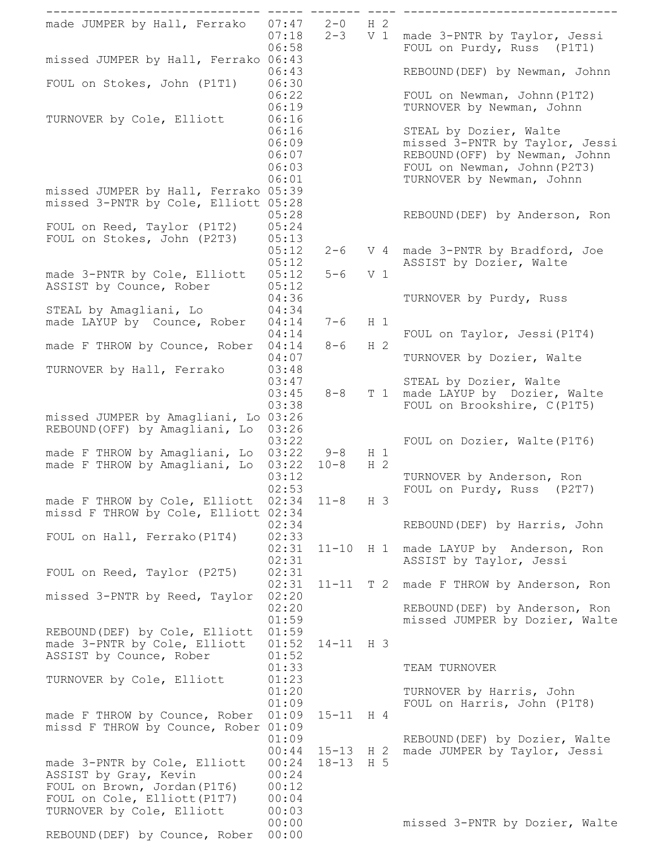| made JUMPER by Hall, Ferrako                                                              | 07:47<br>07:18<br>06:58                   | $2 - 0$<br>$2 - 3$     | H <sub>2</sub><br>V <sub>1</sub> |       | made 3-PNTR by Taylor, Jessi<br>FOUL on Purdy, Russ (P1T1)                                                                                              |
|-------------------------------------------------------------------------------------------|-------------------------------------------|------------------------|----------------------------------|-------|---------------------------------------------------------------------------------------------------------------------------------------------------------|
| missed JUMPER by Hall, Ferrako 06:43                                                      | 06:43                                     |                        |                                  |       | REBOUND (DEF) by Newman, Johnn                                                                                                                          |
| FOUL on Stokes, John (P1T1)                                                               | 06:30<br>06:22                            |                        |                                  |       | FOUL on Newman, Johnn (P1T2)                                                                                                                            |
| TURNOVER by Cole, Elliott                                                                 | 06:19<br>06:16                            |                        |                                  |       | TURNOVER by Newman, Johnn                                                                                                                               |
| missed JUMPER by Hall, Ferrako 05:39                                                      | 06:16<br>06:09<br>06:07<br>06:03<br>06:01 |                        |                                  |       | STEAL by Dozier, Walte<br>missed 3-PNTR by Taylor, Jessi<br>REBOUND (OFF) by Newman, Johnn<br>FOUL on Newman, Johnn (P2T3)<br>TURNOVER by Newman, Johnn |
| missed 3-PNTR by Cole, Elliott 05:28                                                      | 05:28                                     |                        |                                  |       | REBOUND (DEF) by Anderson, Ron                                                                                                                          |
| FOUL on Reed, Taylor (P1T2)<br>FOUL on Stokes, John (P2T3)                                | 05:24<br>05:13<br>05:12<br>05:12          | $2 - 6$                |                                  |       | V 4 made 3-PNTR by Bradford, Joe<br>ASSIST by Dozier, Walte                                                                                             |
| made 3-PNTR by Cole, Elliott<br>ASSIST by Counce, Rober                                   | 05:12<br>05:12                            | $5 - 6$                | V <sub>1</sub>                   |       |                                                                                                                                                         |
| STEAL by Amagliani, Lo<br>made LAYUP by Counce, Rober                                     | 04:36<br>04:34<br>04:14                   | $7 - 6$                | H <sub>1</sub>                   |       | TURNOVER by Purdy, Russ                                                                                                                                 |
| made F THROW by Counce, Rober                                                             | 04:14<br>04:14                            | $8 - 6$                | H <sub>2</sub>                   |       | FOUL on Taylor, Jessi (P1T4)                                                                                                                            |
| TURNOVER by Hall, Ferrako                                                                 | 04:07<br>03:48<br>03:47                   |                        |                                  |       | TURNOVER by Dozier, Walte<br>STEAL by Dozier, Walte                                                                                                     |
| missed JUMPER by Amagliani, Lo 03:26                                                      | 03:45<br>03:38                            | $8 - 8$                |                                  |       | T 1 made LAYUP by Dozier, Walte<br>FOUL on Brookshire, C(P1T5)                                                                                          |
| REBOUND (OFF) by Amagliani, Lo<br>made F THROW by Amagliani, Lo                           | 03:26<br>03:22<br>03:22                   | $9 - 8$                | $H_1$                            |       | FOUL on Dozier, Walte (P1T6)                                                                                                                            |
| made F THROW by Amagliani,<br>Lo                                                          | 03:22<br>03:12<br>02:53                   | $10 - 8$               | H <sub>2</sub>                   |       | TURNOVER by Anderson, Ron<br>FOUL on Purdy, Russ (P2T7)                                                                                                 |
| made F THROW by Cole, Elliott<br>missd F THROW by Cole, Elliott 02:34                     | 02:34<br>02:34                            | $11 - 8$               | H 3                              |       | REBOUND (DEF) by Harris, John                                                                                                                           |
| FOUL on Hall, Ferrako (P1T4)                                                              | 02:33<br>02:31<br>02:31                   | $11 - 10$              |                                  | $H_1$ | made LAYUP by Anderson, Ron<br>ASSIST by Taylor, Jessi                                                                                                  |
| FOUL on Reed, Taylor (P2T5)                                                               | 02:31<br>02:31<br>02:20                   |                        |                                  |       | 11-11 T 2 made F THROW by Anderson, Ron                                                                                                                 |
| missed 3-PNTR by Reed, Taylor                                                             | 02:20<br>01:59                            |                        |                                  |       | REBOUND (DEF) by Anderson, Ron<br>missed JUMPER by Dozier, Walte                                                                                        |
| REBOUND (DEF) by Cole, Elliott<br>made 3-PNTR by Cole, Elliott<br>ASSIST by Counce, Rober | 01:59<br>01:52<br>01:52                   | $14-11$ H 3            |                                  |       |                                                                                                                                                         |
| TURNOVER by Cole, Elliott                                                                 | 01:33<br>01:23<br>01:20                   |                        |                                  |       | TEAM TURNOVER<br>TURNOVER by Harris, John                                                                                                               |
| made F THROW by Counce, Rober<br>missd F THROW by Counce, Rober 01:09                     | 01:09<br>01:09<br>01:09                   | $15 - 11$              | H 4                              |       | FOUL on Harris, John (P1T8)<br>REBOUND (DEF) by Dozier, Walte                                                                                           |
| made 3-PNTR by Cole, Elliott<br>ASSIST by Gray, Kevin<br>FOUL on Brown, Jordan (P1T6)     | 00:44<br>00:24<br>00:24<br>00:12          | $15 - 13$<br>18-13 H 5 | H <sub>2</sub>                   |       | made JUMPER by Taylor, Jessi                                                                                                                            |
| FOUL on Cole, Elliott (P1T7)<br>TURNOVER by Cole, Elliott                                 | 00:04<br>00:03<br>00:00                   |                        |                                  |       | missed 3-PNTR by Dozier, Walte                                                                                                                          |
| REBOUND (DEF) by Counce, Rober                                                            | 00:00                                     |                        |                                  |       |                                                                                                                                                         |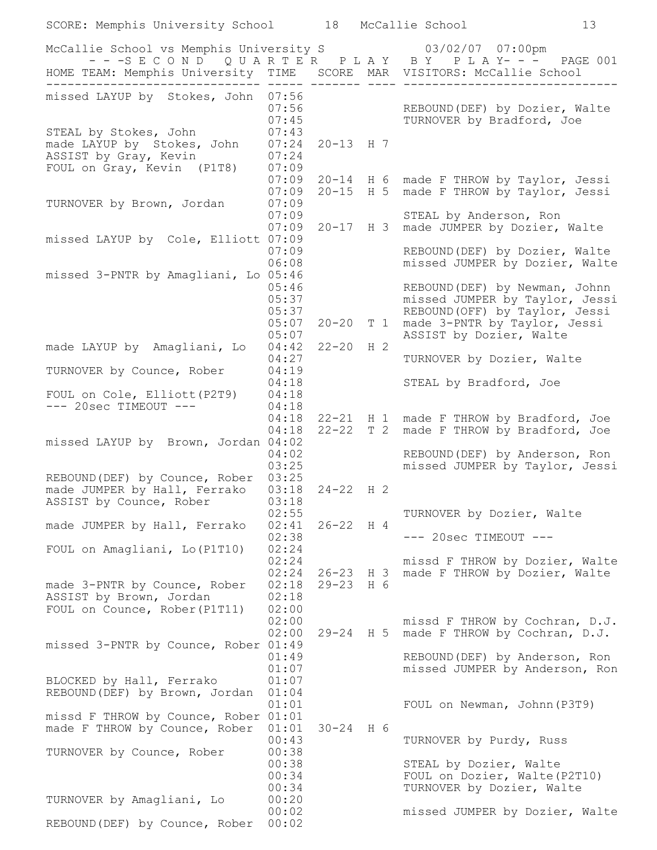| SCORE: Memphis University School 18 McCallie School                                                                                                                               |                                  |                        |                |                                                                                           | 13 |
|-----------------------------------------------------------------------------------------------------------------------------------------------------------------------------------|----------------------------------|------------------------|----------------|-------------------------------------------------------------------------------------------|----|
| McCallie School vs Memphis University S 63/02/07 07:00pm<br>---SECOND QUARTER PLAY BY PLAY--- PAGE 001<br>HOME TEAM: Memphis University TIME  SCORE MAR VISITORS: McCallie School |                                  |                        |                |                                                                                           |    |
| missed LAYUP by Stokes, John 07:56                                                                                                                                                |                                  |                        |                |                                                                                           |    |
| STEAL by Stokes, John                                                                                                                                                             | 07:56<br>07:45<br>07:43          |                        |                | REBOUND (DEF) by Dozier, Walte<br>TURNOVER by Bradford, Joe                               |    |
| made LAYUP by Stokes, John<br>ASSIST by Gray, Kevin<br>FOUL on Gray, Kevin (P1T8)                                                                                                 | 07:24<br>07:24<br>07:09          | $20 - 13$ H 7          |                |                                                                                           |    |
|                                                                                                                                                                                   | 07:09<br>07:09                   | $20 - 15$ H 5          |                | 20-14 H 6 made F THROW by Taylor, Jessi<br>made F THROW by Taylor, Jessi                  |    |
| TURNOVER by Brown, Jordan                                                                                                                                                         | 07:09<br>07:09<br>07:09          |                        |                | STEAL by Anderson, Ron<br>20-17 H 3 made JUMPER by Dozier, Walte                          |    |
| missed LAYUP by Cole, Elliott 07:09                                                                                                                                               | 07:09<br>06:08                   |                        |                | REBOUND (DEF) by Dozier, Walte<br>missed JUMPER by Dozier, Walte                          |    |
| missed 3-PNTR by Amagliani, Lo 05:46                                                                                                                                              | 05:46<br>05:37                   |                        |                | REBOUND (DEF) by Newman, Johnn<br>missed JUMPER by Taylor, Jessi                          |    |
|                                                                                                                                                                                   | 05:37<br>05:07<br>05:07          | $20 - 20$              | T <sub>1</sub> | REBOUND (OFF) by Taylor, Jessi<br>made 3-PNTR by Taylor, Jessi<br>ASSIST by Dozier, Walte |    |
| made LAYUP by Amagliani, Lo                                                                                                                                                       | 04:42<br>04:27                   | $22 - 20$              | H <sub>2</sub> | TURNOVER by Dozier, Walte                                                                 |    |
| TURNOVER by Counce, Rober<br>FOUL on Cole, Elliott (P2T9)                                                                                                                         | 04:19<br>04:18<br>04:18          |                        |                | STEAL by Bradford, Joe                                                                    |    |
| $---$ 20sec TIMEOUT $---$                                                                                                                                                         | 04:18<br>04:18<br>04:18          | $22 - 21$<br>$22 - 22$ | T 2            | H 1 made F THROW by Bradford, Joe<br>made F THROW by Bradford, Joe                        |    |
| missed LAYUP by Brown, Jordan 04:02                                                                                                                                               | 04:02<br>03:25                   |                        |                | REBOUND (DEF) by Anderson, Ron<br>missed JUMPER by Taylor, Jessi                          |    |
| REBOUND (DEF) by Counce, Rober<br>made JUMPER by Hall, Ferrako<br>ASSIST by Counce, Rober                                                                                         | 03:25<br>03:18<br>03:18          | 24-22 H 2              |                |                                                                                           |    |
| made JUMPER by Hall, Ferrako                                                                                                                                                      | 02:55<br>02:41                   | $26 - 22$ H 4          |                | TURNOVER by Dozier, Walte<br>$--- 20sec$ TIMEOUT $---$                                    |    |
| FOUL on Amagliani, Lo (P1T10)                                                                                                                                                     | 02:38<br>02:24<br>02:24          |                        |                | missd F THROW by Dozier, Walte                                                            |    |
| made 3-PNTR by Counce, Rober<br>ASSIST by Brown, Jordan                                                                                                                           | 02:24<br>02:18<br>02:18          | 26-23 H 3<br>29-23 H 6 |                | made F THROW by Dozier, Walte                                                             |    |
| FOUL on Counce, Rober (P1T11)                                                                                                                                                     | 02:00<br>02:00<br>02:00          |                        |                | missd F THROW by Cochran, D.J.<br>29-24 H 5 made F THROW by Cochran, D.J.                 |    |
| missed 3-PNTR by Counce, Rober 01:49                                                                                                                                              | 01:49<br>01:07                   |                        |                | REBOUND (DEF) by Anderson, Ron<br>missed JUMPER by Anderson, Ron                          |    |
| BLOCKED by Hall, Ferrako<br>REBOUND (DEF) by Brown, Jordan                                                                                                                        | 01:07<br>01:04<br>01:01          |                        |                | FOUL on Newman, Johnn (P3T9)                                                              |    |
| missd F THROW by Counce, Rober 01:01<br>made F THROW by Counce, Rober                                                                                                             | 01:01<br>00:43                   | $30 - 24$ H 6          |                | TURNOVER by Purdy, Russ                                                                   |    |
| TURNOVER by Counce, Rober                                                                                                                                                         | 00:38<br>00:38<br>00:34<br>00:34 |                        |                | STEAL by Dozier, Walte<br>FOUL on Dozier, Walte (P2T10)<br>TURNOVER by Dozier, Walte      |    |
| TURNOVER by Amagliani, Lo                                                                                                                                                         | 00:20<br>00:02                   |                        |                | missed JUMPER by Dozier, Walte                                                            |    |
| REBOUND (DEF) by Counce, Rober                                                                                                                                                    | 00:02                            |                        |                |                                                                                           |    |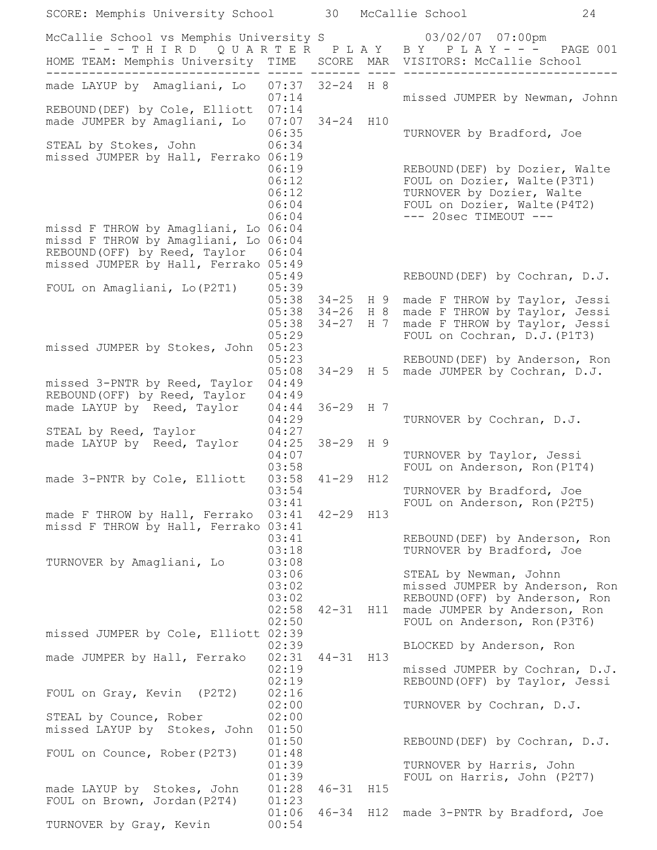| SCORE: Memphis University School                                                                                                                |                                           | 30                                      |            | McCallie School                                                                                                                                          | 24       |
|-------------------------------------------------------------------------------------------------------------------------------------------------|-------------------------------------------|-----------------------------------------|------------|----------------------------------------------------------------------------------------------------------------------------------------------------------|----------|
| McCallie School vs Memphis University S 63/02/07 07:00pm<br>--- THIRD QUARTER PLAY BY PLAY---                                                   |                                           |                                         |            |                                                                                                                                                          | PAGE 001 |
| HOME TEAM: Memphis University TIME                                                                                                              |                                           |                                         |            | SCORE MAR VISITORS: McCallie School                                                                                                                      |          |
| made LAYUP by Amagliani, Lo<br>REBOUND (DEF) by Cole, Elliott                                                                                   | 07:37 32-24 H 8<br>07:14<br>07:14         |                                         |            | missed JUMPER by Newman, Johnn                                                                                                                           |          |
| made JUMPER by Amagliani, Lo<br>STEAL by Stokes, John                                                                                           | 07:07<br>06:35<br>06:34                   | $34 - 24$ H10                           |            | TURNOVER by Bradford, Joe                                                                                                                                |          |
| missed JUMPER by Hall, Ferrako 06:19                                                                                                            | 06:19<br>06:12<br>06:12<br>06:04<br>06:04 |                                         |            | REBOUND (DEF) by Dozier, Walte<br>FOUL on Dozier, Walte (P3T1)<br>TURNOVER by Dozier, Walte<br>FOUL on Dozier, Walte (P4T2)<br>$--- 20sec$ TIMEOUT $---$ |          |
| missd F THROW by Amagliani, Lo<br>missd F THROW by Amagliani, Lo 06:04<br>REBOUND (OFF) by Reed, Taylor<br>missed JUMPER by Hall, Ferrako 05:49 | 06:04<br>06:04                            |                                         |            |                                                                                                                                                          |          |
| FOUL on Amagliani, Lo (P2T1)                                                                                                                    | 05:49<br>05:39                            |                                         |            | REBOUND (DEF) by Cochran, D.J.                                                                                                                           |          |
| missed JUMPER by Stokes, John                                                                                                                   | 05:38<br>05:38<br>05:38<br>05:29<br>05:23 | $34 - 25$ H 9<br>$34 - 26$<br>$34 - 27$ | H 8<br>H 7 | made F THROW by Taylor, Jessi<br>made F THROW by Taylor, Jessi<br>made F THROW by Taylor, Jessi<br>FOUL on Cochran, D.J. (P1T3)                          |          |
|                                                                                                                                                 | 05:23<br>05:08                            |                                         |            | REBOUND (DEF) by Anderson, Ron<br>34-29 H 5 made JUMPER by Cochran, D.J.                                                                                 |          |
| missed 3-PNTR by Reed, Taylor<br>REBOUND (OFF) by Reed, Taylor<br>made LAYUP by Reed, Taylor                                                    | 04:49<br>04:49<br>04:44                   | 36-29 H 7                               |            |                                                                                                                                                          |          |
| STEAL by Reed, Taylor                                                                                                                           | 04:29<br>04:27                            | 38-29 H 9                               |            | TURNOVER by Cochran, D.J.                                                                                                                                |          |
| made LAYUP by Reed, Taylor                                                                                                                      | 04:25<br>04:07<br>03:58                   |                                         |            | TURNOVER by Taylor, Jessi<br>FOUL on Anderson, Ron (P1T4)                                                                                                |          |
| made 3-PNTR by Cole, Elliott                                                                                                                    | 03:58<br>03:54<br>03:41                   | $41 - 29$                               | H12        | TURNOVER by Bradford, Joe<br>FOUL on Anderson, Ron (P2T5)                                                                                                |          |
| made F THROW by Hall, Ferrako<br>missd F THROW by Hall, Ferrako 03:41                                                                           | 03:41<br>03:41<br>03:18                   | $42 - 29$ H13                           |            | REBOUND (DEF) by Anderson, Ron<br>TURNOVER by Bradford, Joe                                                                                              |          |
| TURNOVER by Amagliani, Lo                                                                                                                       | 03:08<br>03:06<br>03:02                   |                                         |            | STEAL by Newman, Johnn<br>missed JUMPER by Anderson, Ron                                                                                                 |          |
|                                                                                                                                                 | 03:02<br>02:58<br>02:50                   | $42 - 31$                               |            | REBOUND (OFF) by Anderson, Ron<br>H11 made JUMPER by Anderson, Ron<br>FOUL on Anderson, Ron (P3T6)                                                       |          |
| missed JUMPER by Cole, Elliott 02:39                                                                                                            | 02:39                                     |                                         |            | BLOCKED by Anderson, Ron                                                                                                                                 |          |
| made JUMPER by Hall, Ferrako                                                                                                                    | 02:31<br>02:19<br>02:19                   | $44 - 31$                               | H13        | missed JUMPER by Cochran, D.J.<br>REBOUND (OFF) by Taylor, Jessi                                                                                         |          |
| FOUL on Gray, Kevin (P2T2)<br>STEAL by Counce, Rober                                                                                            | 02:16<br>02:00<br>02:00                   |                                         |            | TURNOVER by Cochran, D.J.                                                                                                                                |          |
| missed LAYUP by Stokes, John<br>FOUL on Counce, Rober (P2T3)                                                                                    | 01:50<br>01:50<br>01:48                   |                                         |            | REBOUND (DEF) by Cochran, D.J.                                                                                                                           |          |
|                                                                                                                                                 | 01:39<br>01:39                            |                                         |            | TURNOVER by Harris, John<br>FOUL on Harris, John (P2T7)                                                                                                  |          |
| made LAYUP by Stokes, John<br>FOUL on Brown, Jordan (P2T4)                                                                                      | 01:28<br>01:23                            | $46 - 31$<br>$46 - 34$                  | H15        |                                                                                                                                                          |          |
| TURNOVER by Gray, Kevin                                                                                                                         | 01:06<br>00:54                            |                                         | H12        | made 3-PNTR by Bradford, Joe                                                                                                                             |          |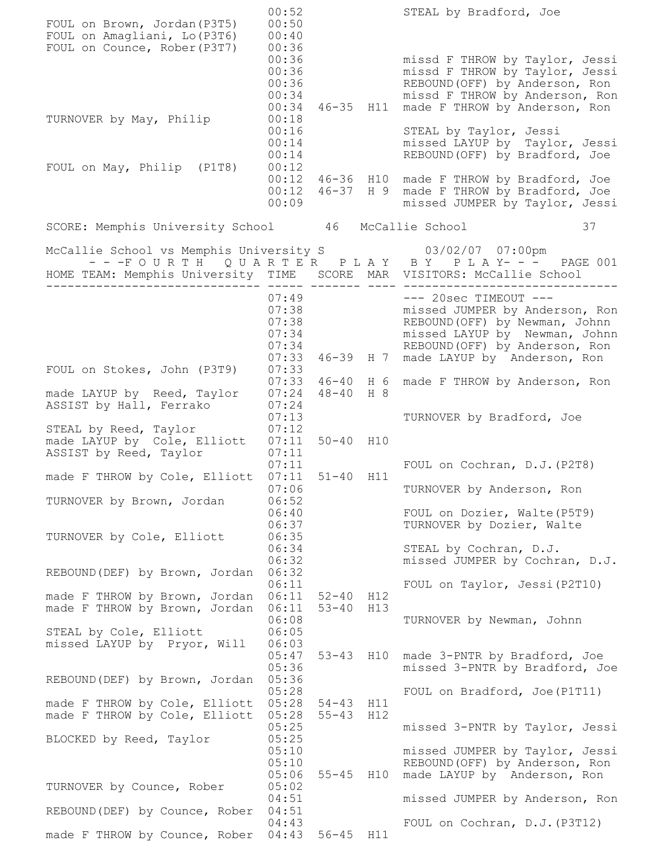| FOUL on Brown, Jordan (P3T5)<br>FOUL on Amagliani, Lo (P3T6)                                                                        | 00:52<br>00:50<br>00:40                                     |                        |            | STEAL by Bradford, Joe                                                                                                                                                                                    |
|-------------------------------------------------------------------------------------------------------------------------------------|-------------------------------------------------------------|------------------------|------------|-----------------------------------------------------------------------------------------------------------------------------------------------------------------------------------------------------------|
| FOUL on Counce, Rober (P3T7)<br>TURNOVER by May, Philip                                                                             | 00:36<br>00:36<br>00:36<br>00:36<br>00:34<br>00:34<br>00:18 | $46 - 35$              |            | missd F THROW by Taylor, Jessi<br>missd F THROW by Taylor, Jessi<br>REBOUND (OFF) by Anderson, Ron<br>missd F THROW by Anderson, Ron<br>H11 made F THROW by Anderson, Ron                                 |
| FOUL on May, Philip (P1T8)                                                                                                          | 00:16<br>00:14<br>00:14<br>00:12                            |                        |            | STEAL by Taylor, Jessi<br>missed LAYUP by Taylor, Jessi<br>REBOUND (OFF) by Bradford, Joe                                                                                                                 |
|                                                                                                                                     | 00:12<br>00:09                                              |                        |            | 00:12 46-36 H10 made F THROW by Bradford, Joe<br>46-37 H 9 made F THROW by Bradford, Joe<br>missed JUMPER by Taylor, Jessi                                                                                |
| SCORE: Memphis University School 46 McCallie School                                                                                 |                                                             |                        |            | 37                                                                                                                                                                                                        |
| McCallie School vs Memphis University S 63/02/07 07:00pm<br>HOME TEAM: Memphis University TIME  SCORE MAR VISITORS: McCallie School |                                                             |                        |            | ---FOURTH QUARTER PLAY BY PLAY--- PAGE 001                                                                                                                                                                |
|                                                                                                                                     | 07:49<br>07:38<br>07:34<br>07:34<br>07:33                   | $07:49$<br>07:38       |            | $---$ 20sec TIMEOUT $---$<br>missed JUMPER by Anderson, Ron<br>REBOUND (OFF) by Newman, Johnn<br>missed LAYUP by Newman, Johnn<br>REBOUND (OFF) by Anderson, Ron<br>46-39 H 7 made LAYUP by Anderson, Ron |
| FOUL on Stokes, John (P3T9)                                                                                                         | 07:33<br>07:33                                              | $46 - 40$ H 6          |            | made F THROW by Anderson, Ron                                                                                                                                                                             |
| made LAYUP by Reed, Taylor<br>ASSIST by Hall, Ferrako                                                                               | 07:24<br>07:24                                              | $48 - 40$              | H 8        |                                                                                                                                                                                                           |
| STEAL by Reed, Taylor<br>made LAYUP by Cole, Elliott<br>ASSIST by Reed, Taylor                                                      | 07:13<br>07:12<br>07:11<br>07:11                            | $50 - 40$ H10          |            | TURNOVER by Bradford, Joe                                                                                                                                                                                 |
| made F THROW by Cole, Elliott                                                                                                       | 07:11<br>07:11                                              | $51 - 40$ H11          |            | FOUL on Cochran, D.J. (P2T8)                                                                                                                                                                              |
| TURNOVER by Brown, Jordan                                                                                                           | 07:06<br>06:52                                              |                        |            | TURNOVER by Anderson, Ron                                                                                                                                                                                 |
| TURNOVER by Cole, Elliott                                                                                                           | 06:40<br>06:37<br>06:35                                     |                        |            | FOUL on Dozier, Walte (P5T9)<br>TURNOVER by Dozier, Walte                                                                                                                                                 |
|                                                                                                                                     | 06:34<br>06:32<br>06:32                                     |                        |            | STEAL by Cochran, D.J.<br>missed JUMPER by Cochran, D.J.                                                                                                                                                  |
| REBOUND (DEF) by Brown, Jordan<br>made F THROW by Brown, Jordan                                                                     | 06:11<br>06:11                                              | $52 - 40$              | H12        | FOUL on Taylor, Jessi (P2T10)                                                                                                                                                                             |
| made F THROW by Brown, Jordan                                                                                                       | 06:11<br>06:08                                              | $53 - 40$              | H13        | TURNOVER by Newman, Johnn                                                                                                                                                                                 |
| STEAL by Cole, Elliott<br>missed LAYUP by Pryor, Will                                                                               | 06:05<br>06:03<br>05:47                                     |                        |            | 53-43 H10 made 3-PNTR by Bradford, Joe                                                                                                                                                                    |
| REBOUND (DEF) by Brown, Jordan                                                                                                      | 05:36<br>05:36<br>05:28                                     |                        |            | missed 3-PNTR by Bradford, Joe<br>FOUL on Bradford, Joe (P1T11)                                                                                                                                           |
| made F THROW by Cole, Elliott 05:28<br>made F THROW by Cole, Elliott                                                                | 05:28                                                       | $54 - 43$<br>$55 - 43$ | H11<br>H12 |                                                                                                                                                                                                           |
| BLOCKED by Reed, Taylor                                                                                                             | 05:25<br>05:25<br>05:10<br>05:10                            |                        |            | missed 3-PNTR by Taylor, Jessi<br>missed JUMPER by Taylor, Jessi<br>REBOUND (OFF) by Anderson, Ron                                                                                                        |
| TURNOVER by Counce, Rober                                                                                                           | 05:06<br>05:02                                              |                        |            | 55-45 H10 made LAYUP by Anderson, Ron                                                                                                                                                                     |
| REBOUND (DEF) by Counce, Rober                                                                                                      | 04:51<br>04:51                                              |                        |            | missed JUMPER by Anderson, Ron                                                                                                                                                                            |
| made F THROW by Counce, Rober 04:43                                                                                                 | 04:43                                                       | 56-45 H11              |            | FOUL on Cochran, D.J. (P3T12)                                                                                                                                                                             |